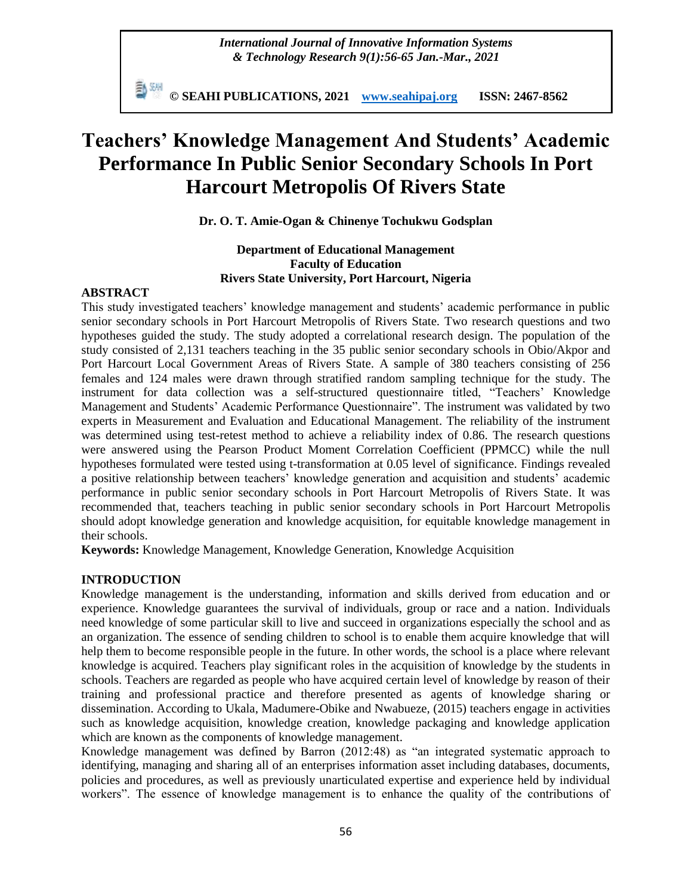*International Journal of Innovative Information Systems & Technology Research 9(1):56-65 Jan.-Mar., 2021*

**© SEAHI PUBLICATIONS, 2021 [www.seahipaj.org](http://www.seahipaj.org/) ISSN: 2467-8562**

# **Teachers' Knowledge Management And Students' Academic Performance In Public Senior Secondary Schools In Port Harcourt Metropolis Of Rivers State**

**Dr. O. T. Amie-Ogan & Chinenye Tochukwu Godsplan**

## **Department of Educational Management Faculty of Education Rivers State University, Port Harcourt, Nigeria**

### **ABSTRACT**

This study investigated teachers' knowledge management and students' academic performance in public senior secondary schools in Port Harcourt Metropolis of Rivers State. Two research questions and two hypotheses guided the study. The study adopted a correlational research design. The population of the study consisted of 2,131 teachers teaching in the 35 public senior secondary schools in Obio/Akpor and Port Harcourt Local Government Areas of Rivers State. A sample of 380 teachers consisting of 256 females and 124 males were drawn through stratified random sampling technique for the study. The instrument for data collection was a self-structured questionnaire titled, "Teachers' Knowledge Management and Students' Academic Performance Questionnaire". The instrument was validated by two experts in Measurement and Evaluation and Educational Management. The reliability of the instrument was determined using test-retest method to achieve a reliability index of 0.86. The research questions were answered using the Pearson Product Moment Correlation Coefficient (PPMCC) while the null hypotheses formulated were tested using t-transformation at 0.05 level of significance. Findings revealed a positive relationship between teachers' knowledge generation and acquisition and students' academic performance in public senior secondary schools in Port Harcourt Metropolis of Rivers State. It was recommended that, teachers teaching in public senior secondary schools in Port Harcourt Metropolis should adopt knowledge generation and knowledge acquisition, for equitable knowledge management in their schools.

**Keywords:** Knowledge Management, Knowledge Generation, Knowledge Acquisition

## **INTRODUCTION**

Knowledge management is the understanding, information and skills derived from education and or experience. Knowledge guarantees the survival of individuals, group or race and a nation. Individuals need knowledge of some particular skill to live and succeed in organizations especially the school and as an organization. The essence of sending children to school is to enable them acquire knowledge that will help them to become responsible people in the future. In other words, the school is a place where relevant knowledge is acquired. Teachers play significant roles in the acquisition of knowledge by the students in schools. Teachers are regarded as people who have acquired certain level of knowledge by reason of their training and professional practice and therefore presented as agents of knowledge sharing or dissemination. According to Ukala, Madumere-Obike and Nwabueze, (2015) teachers engage in activities such as knowledge acquisition, knowledge creation, knowledge packaging and knowledge application which are known as the components of knowledge management.

Knowledge management was defined by Barron (2012:48) as "an integrated systematic approach to identifying, managing and sharing all of an enterprises information asset including databases, documents, policies and procedures, as well as previously unarticulated expertise and experience held by individual workers". The essence of knowledge management is to enhance the quality of the contributions of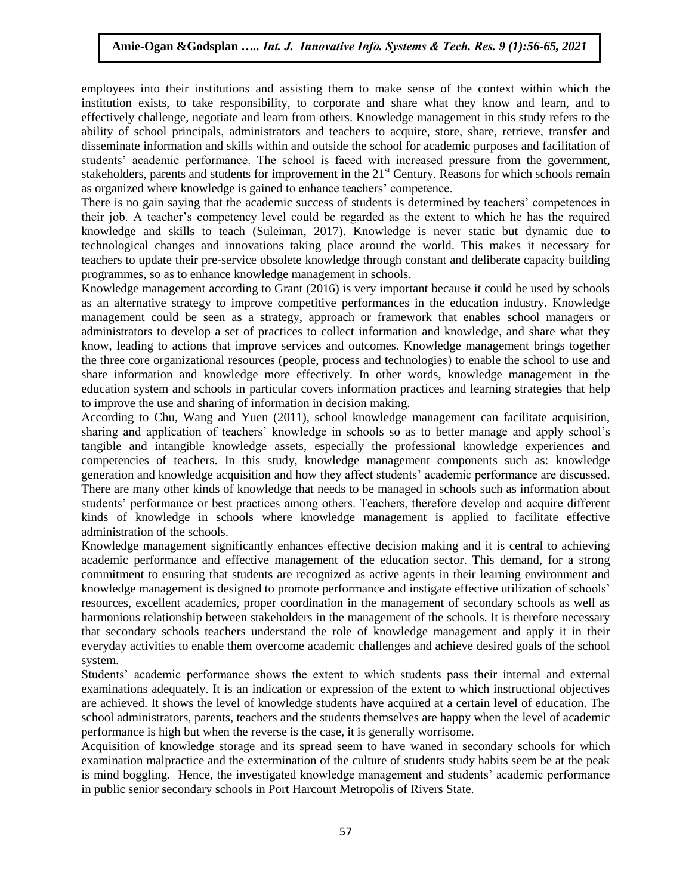employees into their institutions and assisting them to make sense of the context within which the institution exists, to take responsibility, to corporate and share what they know and learn, and to effectively challenge, negotiate and learn from others. Knowledge management in this study refers to the ability of school principals, administrators and teachers to acquire, store, share, retrieve, transfer and disseminate information and skills within and outside the school for academic purposes and facilitation of students' academic performance. The school is faced with increased pressure from the government, stakeholders, parents and students for improvement in the  $21<sup>st</sup>$  Century. Reasons for which schools remain as organized where knowledge is gained to enhance teachers' competence.

There is no gain saying that the academic success of students is determined by teachers' competences in their job. A teacher's competency level could be regarded as the extent to which he has the required knowledge and skills to teach (Suleiman, 2017). Knowledge is never static but dynamic due to technological changes and innovations taking place around the world. This makes it necessary for teachers to update their pre-service obsolete knowledge through constant and deliberate capacity building programmes, so as to enhance knowledge management in schools.

Knowledge management according to Grant (2016) is very important because it could be used by schools as an alternative strategy to improve competitive performances in the education industry. Knowledge management could be seen as a strategy, approach or framework that enables school managers or administrators to develop a set of practices to collect information and knowledge, and share what they know, leading to actions that improve services and outcomes. Knowledge management brings together the three core organizational resources (people, process and technologies) to enable the school to use and share information and knowledge more effectively. In other words, knowledge management in the education system and schools in particular covers information practices and learning strategies that help to improve the use and sharing of information in decision making.

According to Chu, Wang and Yuen (2011), school knowledge management can facilitate acquisition, sharing and application of teachers' knowledge in schools so as to better manage and apply school's tangible and intangible knowledge assets, especially the professional knowledge experiences and competencies of teachers. In this study, knowledge management components such as: knowledge generation and knowledge acquisition and how they affect students' academic performance are discussed. There are many other kinds of knowledge that needs to be managed in schools such as information about students' performance or best practices among others. Teachers, therefore develop and acquire different kinds of knowledge in schools where knowledge management is applied to facilitate effective administration of the schools.

Knowledge management significantly enhances effective decision making and it is central to achieving academic performance and effective management of the education sector. This demand, for a strong commitment to ensuring that students are recognized as active agents in their learning environment and knowledge management is designed to promote performance and instigate effective utilization of schools' resources, excellent academics, proper coordination in the management of secondary schools as well as harmonious relationship between stakeholders in the management of the schools. It is therefore necessary that secondary schools teachers understand the role of knowledge management and apply it in their everyday activities to enable them overcome academic challenges and achieve desired goals of the school system.

Students' academic performance shows the extent to which students pass their internal and external examinations adequately. It is an indication or expression of the extent to which instructional objectives are achieved. It shows the level of knowledge students have acquired at a certain level of education. The school administrators, parents, teachers and the students themselves are happy when the level of academic performance is high but when the reverse is the case, it is generally worrisome.

Acquisition of knowledge storage and its spread seem to have waned in secondary schools for which examination malpractice and the extermination of the culture of students study habits seem be at the peak is mind boggling. Hence, the investigated knowledge management and students' academic performance in public senior secondary schools in Port Harcourt Metropolis of Rivers State.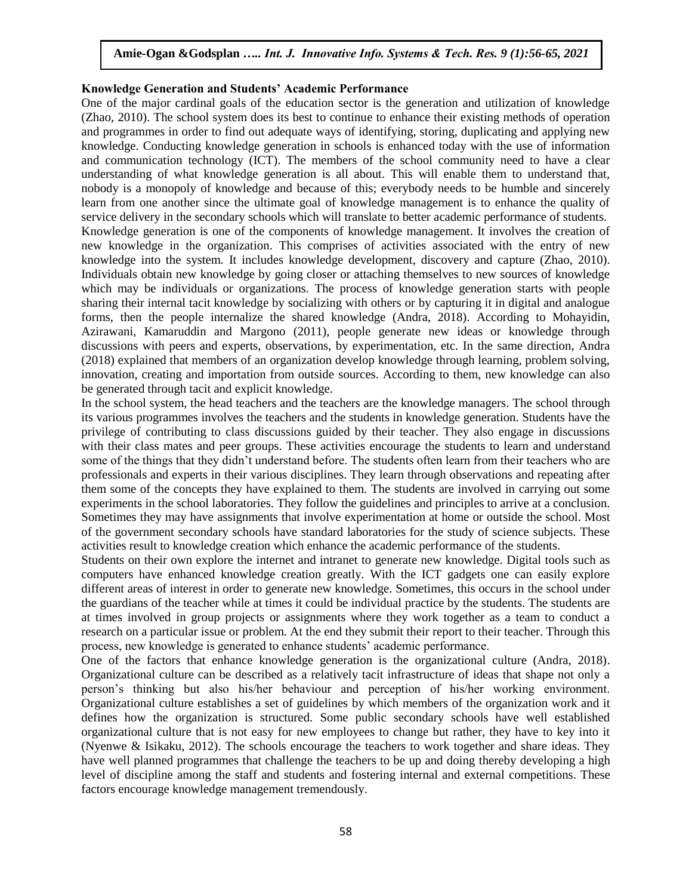#### **Knowledge Generation and Students' Academic Performance**

One of the major cardinal goals of the education sector is the generation and utilization of knowledge (Zhao, 2010). The school system does its best to continue to enhance their existing methods of operation and programmes in order to find out adequate ways of identifying, storing, duplicating and applying new knowledge. Conducting knowledge generation in schools is enhanced today with the use of information and communication technology (ICT). The members of the school community need to have a clear understanding of what knowledge generation is all about. This will enable them to understand that, nobody is a monopoly of knowledge and because of this; everybody needs to be humble and sincerely learn from one another since the ultimate goal of knowledge management is to enhance the quality of service delivery in the secondary schools which will translate to better academic performance of students. Knowledge generation is one of the components of knowledge management. It involves the creation of new knowledge in the organization. This comprises of activities associated with the entry of new knowledge into the system. It includes knowledge development, discovery and capture (Zhao, 2010). Individuals obtain new knowledge by going closer or attaching themselves to new sources of knowledge which may be individuals or organizations. The process of knowledge generation starts with people sharing their internal tacit knowledge by socializing with others or by capturing it in digital and analogue forms, then the people internalize the shared knowledge (Andra, 2018). According to Mohayidin, Azirawani, Kamaruddin and Margono (2011), people generate new ideas or knowledge through discussions with peers and experts, observations, by experimentation, etc. In the same direction, Andra (2018) explained that members of an organization develop knowledge through learning, problem solving, innovation, creating and importation from outside sources. According to them, new knowledge can also be generated through tacit and explicit knowledge.

In the school system, the head teachers and the teachers are the knowledge managers. The school through its various programmes involves the teachers and the students in knowledge generation. Students have the privilege of contributing to class discussions guided by their teacher. They also engage in discussions with their class mates and peer groups. These activities encourage the students to learn and understand some of the things that they didn't understand before. The students often learn from their teachers who are professionals and experts in their various disciplines. They learn through observations and repeating after them some of the concepts they have explained to them. The students are involved in carrying out some experiments in the school laboratories. They follow the guidelines and principles to arrive at a conclusion. Sometimes they may have assignments that involve experimentation at home or outside the school. Most of the government secondary schools have standard laboratories for the study of science subjects. These activities result to knowledge creation which enhance the academic performance of the students.

Students on their own explore the internet and intranet to generate new knowledge. Digital tools such as computers have enhanced knowledge creation greatly. With the ICT gadgets one can easily explore different areas of interest in order to generate new knowledge. Sometimes, this occurs in the school under the guardians of the teacher while at times it could be individual practice by the students. The students are at times involved in group projects or assignments where they work together as a team to conduct a research on a particular issue or problem. At the end they submit their report to their teacher. Through this process, new knowledge is generated to enhance students' academic performance.

One of the factors that enhance knowledge generation is the organizational culture (Andra, 2018). Organizational culture can be described as a relatively tacit infrastructure of ideas that shape not only a person's thinking but also his/her behaviour and perception of his/her working environment. Organizational culture establishes a set of guidelines by which members of the organization work and it defines how the organization is structured. Some public secondary schools have well established organizational culture that is not easy for new employees to change but rather, they have to key into it (Nyenwe & Isikaku, 2012). The schools encourage the teachers to work together and share ideas. They have well planned programmes that challenge the teachers to be up and doing thereby developing a high level of discipline among the staff and students and fostering internal and external competitions. These factors encourage knowledge management tremendously.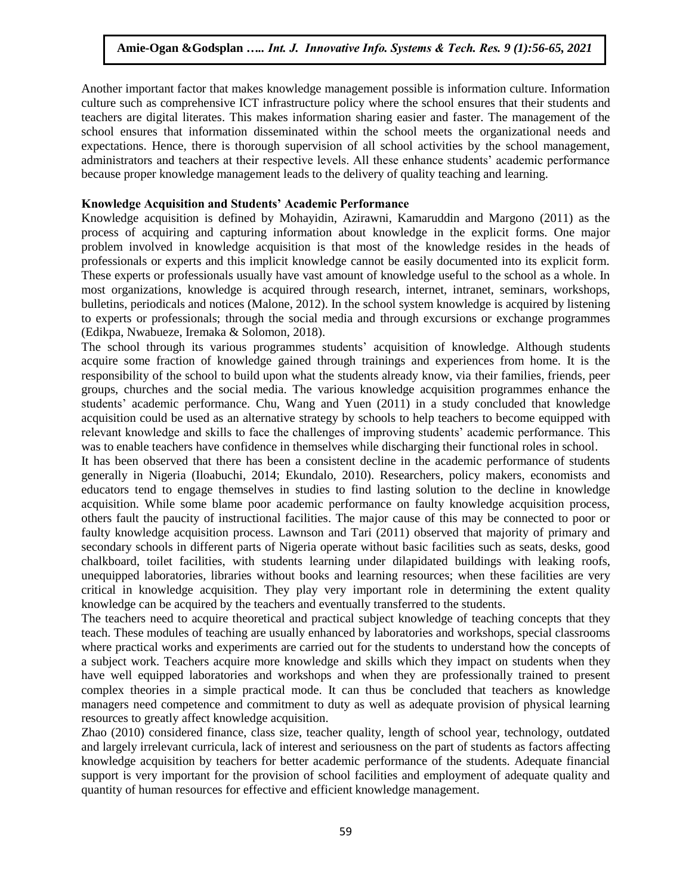Another important factor that makes knowledge management possible is information culture. Information culture such as comprehensive ICT infrastructure policy where the school ensures that their students and teachers are digital literates. This makes information sharing easier and faster. The management of the school ensures that information disseminated within the school meets the organizational needs and expectations. Hence, there is thorough supervision of all school activities by the school management, administrators and teachers at their respective levels. All these enhance students' academic performance because proper knowledge management leads to the delivery of quality teaching and learning.

#### **Knowledge Acquisition and Students' Academic Performance**

Knowledge acquisition is defined by Mohayidin, Azirawni, Kamaruddin and Margono (2011) as the process of acquiring and capturing information about knowledge in the explicit forms. One major problem involved in knowledge acquisition is that most of the knowledge resides in the heads of professionals or experts and this implicit knowledge cannot be easily documented into its explicit form. These experts or professionals usually have vast amount of knowledge useful to the school as a whole. In most organizations, knowledge is acquired through research, internet, intranet, seminars, workshops, bulletins, periodicals and notices (Malone, 2012). In the school system knowledge is acquired by listening to experts or professionals; through the social media and through excursions or exchange programmes (Edikpa, Nwabueze, Iremaka & Solomon, 2018).

The school through its various programmes students' acquisition of knowledge. Although students acquire some fraction of knowledge gained through trainings and experiences from home. It is the responsibility of the school to build upon what the students already know, via their families, friends, peer groups, churches and the social media. The various knowledge acquisition programmes enhance the students' academic performance. Chu, Wang and Yuen (2011) in a study concluded that knowledge acquisition could be used as an alternative strategy by schools to help teachers to become equipped with relevant knowledge and skills to face the challenges of improving students' academic performance. This was to enable teachers have confidence in themselves while discharging their functional roles in school.

It has been observed that there has been a consistent decline in the academic performance of students generally in Nigeria (Iloabuchi, 2014; Ekundalo, 2010). Researchers, policy makers, economists and educators tend to engage themselves in studies to find lasting solution to the decline in knowledge acquisition. While some blame poor academic performance on faulty knowledge acquisition process, others fault the paucity of instructional facilities. The major cause of this may be connected to poor or faulty knowledge acquisition process. Lawnson and Tari (2011) observed that majority of primary and secondary schools in different parts of Nigeria operate without basic facilities such as seats, desks, good chalkboard, toilet facilities, with students learning under dilapidated buildings with leaking roofs, unequipped laboratories, libraries without books and learning resources; when these facilities are very critical in knowledge acquisition. They play very important role in determining the extent quality knowledge can be acquired by the teachers and eventually transferred to the students.

The teachers need to acquire theoretical and practical subject knowledge of teaching concepts that they teach. These modules of teaching are usually enhanced by laboratories and workshops, special classrooms where practical works and experiments are carried out for the students to understand how the concepts of a subject work. Teachers acquire more knowledge and skills which they impact on students when they have well equipped laboratories and workshops and when they are professionally trained to present complex theories in a simple practical mode. It can thus be concluded that teachers as knowledge managers need competence and commitment to duty as well as adequate provision of physical learning resources to greatly affect knowledge acquisition.

Zhao (2010) considered finance, class size, teacher quality, length of school year, technology, outdated and largely irrelevant curricula, lack of interest and seriousness on the part of students as factors affecting knowledge acquisition by teachers for better academic performance of the students. Adequate financial support is very important for the provision of school facilities and employment of adequate quality and quantity of human resources for effective and efficient knowledge management.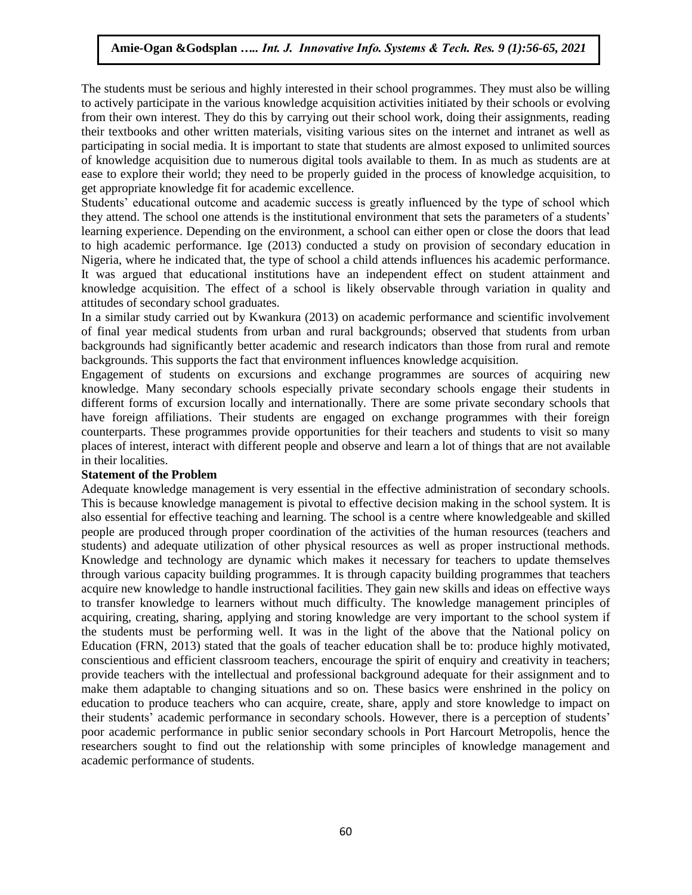The students must be serious and highly interested in their school programmes. They must also be willing to actively participate in the various knowledge acquisition activities initiated by their schools or evolving from their own interest. They do this by carrying out their school work, doing their assignments, reading their textbooks and other written materials, visiting various sites on the internet and intranet as well as participating in social media. It is important to state that students are almost exposed to unlimited sources of knowledge acquisition due to numerous digital tools available to them. In as much as students are at ease to explore their world; they need to be properly guided in the process of knowledge acquisition, to get appropriate knowledge fit for academic excellence.

Students' educational outcome and academic success is greatly influenced by the type of school which they attend. The school one attends is the institutional environment that sets the parameters of a students' learning experience. Depending on the environment, a school can either open or close the doors that lead to high academic performance. Ige (2013) conducted a study on provision of secondary education in Nigeria, where he indicated that, the type of school a child attends influences his academic performance. It was argued that educational institutions have an independent effect on student attainment and knowledge acquisition. The effect of a school is likely observable through variation in quality and attitudes of secondary school graduates.

In a similar study carried out by Kwankura (2013) on academic performance and scientific involvement of final year medical students from urban and rural backgrounds; observed that students from urban backgrounds had significantly better academic and research indicators than those from rural and remote backgrounds. This supports the fact that environment influences knowledge acquisition.

Engagement of students on excursions and exchange programmes are sources of acquiring new knowledge. Many secondary schools especially private secondary schools engage their students in different forms of excursion locally and internationally. There are some private secondary schools that have foreign affiliations. Their students are engaged on exchange programmes with their foreign counterparts. These programmes provide opportunities for their teachers and students to visit so many places of interest, interact with different people and observe and learn a lot of things that are not available in their localities.

#### **Statement of the Problem**

Adequate knowledge management is very essential in the effective administration of secondary schools. This is because knowledge management is pivotal to effective decision making in the school system. It is also essential for effective teaching and learning. The school is a centre where knowledgeable and skilled people are produced through proper coordination of the activities of the human resources (teachers and students) and adequate utilization of other physical resources as well as proper instructional methods. Knowledge and technology are dynamic which makes it necessary for teachers to update themselves through various capacity building programmes. It is through capacity building programmes that teachers acquire new knowledge to handle instructional facilities. They gain new skills and ideas on effective ways to transfer knowledge to learners without much difficulty. The knowledge management principles of acquiring, creating, sharing, applying and storing knowledge are very important to the school system if the students must be performing well. It was in the light of the above that the National policy on Education (FRN, 2013) stated that the goals of teacher education shall be to: produce highly motivated, conscientious and efficient classroom teachers, encourage the spirit of enquiry and creativity in teachers; provide teachers with the intellectual and professional background adequate for their assignment and to make them adaptable to changing situations and so on. These basics were enshrined in the policy on education to produce teachers who can acquire, create, share, apply and store knowledge to impact on their students' academic performance in secondary schools. However, there is a perception of students' poor academic performance in public senior secondary schools in Port Harcourt Metropolis, hence the researchers sought to find out the relationship with some principles of knowledge management and academic performance of students.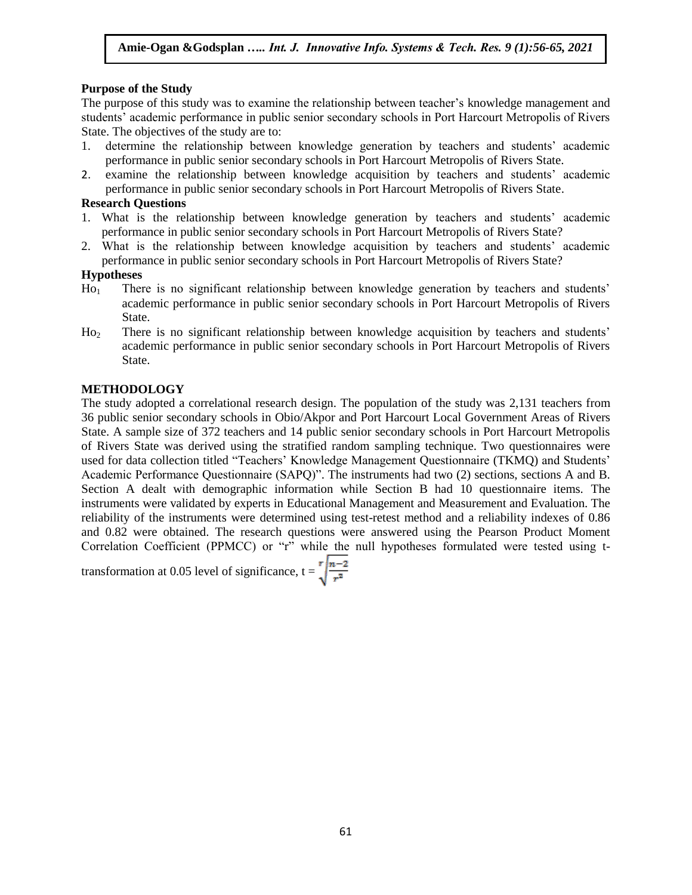# **Purpose of the Study**

The purpose of this study was to examine the relationship between teacher's knowledge management and students' academic performance in public senior secondary schools in Port Harcourt Metropolis of Rivers State. The objectives of the study are to:

- 1. determine the relationship between knowledge generation by teachers and students' academic performance in public senior secondary schools in Port Harcourt Metropolis of Rivers State.
- 2. examine the relationship between knowledge acquisition by teachers and students' academic performance in public senior secondary schools in Port Harcourt Metropolis of Rivers State.

## **Research Questions**

- 1. What is the relationship between knowledge generation by teachers and students' academic performance in public senior secondary schools in Port Harcourt Metropolis of Rivers State?
- 2. What is the relationship between knowledge acquisition by teachers and students' academic performance in public senior secondary schools in Port Harcourt Metropolis of Rivers State?

## **Hypotheses**

- Ho<sup>1</sup> There is no significant relationship between knowledge generation by teachers and students' academic performance in public senior secondary schools in Port Harcourt Metropolis of Rivers State.
- Ho<sup>2</sup> There is no significant relationship between knowledge acquisition by teachers and students' academic performance in public senior secondary schools in Port Harcourt Metropolis of Rivers State.

# **METHODOLOGY**

The study adopted a correlational research design. The population of the study was 2,131 teachers from 36 public senior secondary schools in Obio/Akpor and Port Harcourt Local Government Areas of Rivers State. A sample size of 372 teachers and 14 public senior secondary schools in Port Harcourt Metropolis of Rivers State was derived using the stratified random sampling technique. Two questionnaires were used for data collection titled "Teachers' Knowledge Management Questionnaire (TKMQ) and Students' Academic Performance Questionnaire (SAPQ)". The instruments had two (2) sections, sections A and B. Section A dealt with demographic information while Section B had 10 questionnaire items. The instruments were validated by experts in Educational Management and Measurement and Evaluation. The reliability of the instruments were determined using test-retest method and a reliability indexes of 0.86 and 0.82 were obtained. The research questions were answered using the Pearson Product Moment Correlation Coefficient (PPMCC) or "r" while the null hypotheses formulated were tested using t-

transformation at 0.05 level of significance,  $t = \sqrt{\frac{n-2}{r^2}}$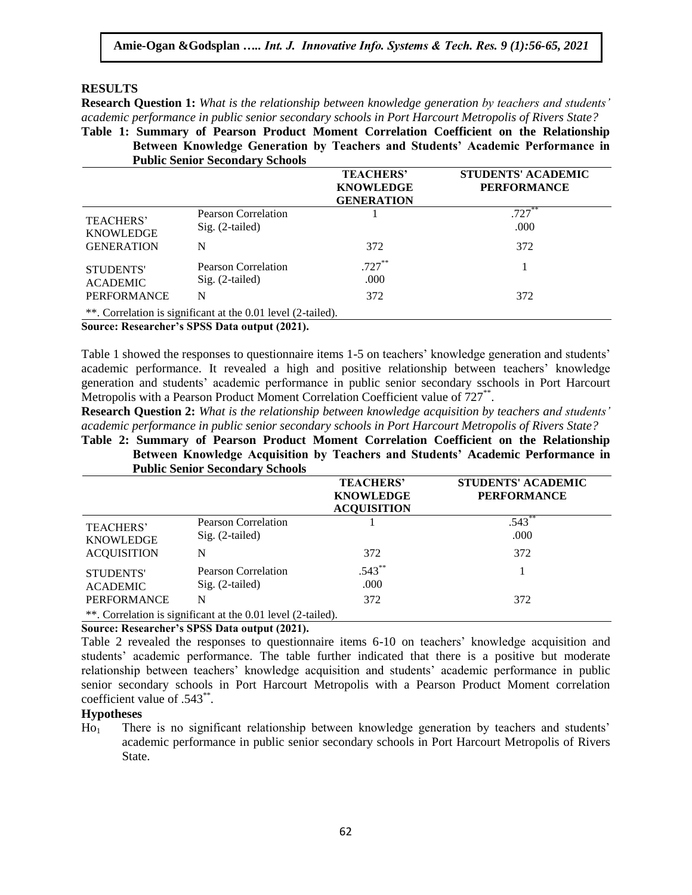#### **RESULTS**

**Research Question 1:** *What is the relationship between knowledge generation by teachers and students' academic performance in public senior secondary schools in Port Harcourt Metropolis of Rivers State?*

**Table 1: Summary of Pearson Product Moment Correlation Coefficient on the Relationship Between Knowledge Generation by Teachers and Students' Academic Performance in Public Senior Secondary Schools**

|                                                           |                                                                                               | <b>TEACHERS'</b><br><b>KNOWLEDGE</b><br><b>GENERATION</b> | <b>STUDENTS' ACADEMIC</b><br><b>PERFORMANCE</b> |
|-----------------------------------------------------------|-----------------------------------------------------------------------------------------------|-----------------------------------------------------------|-------------------------------------------------|
| <b>TEACHERS'</b><br><b>KNOWLEDGE</b>                      | Pearson Correlation<br>$Sig. (2-tailed)$                                                      |                                                           | $.727**$<br>.000                                |
| <b>GENERATION</b>                                         | N                                                                                             | 372                                                       | 372                                             |
| <b>STUDENTS'</b><br><b>ACADEMIC</b><br><b>PERFORMANCE</b> | Pearson Correlation<br>$Sig. (2-tailed)$                                                      | $.727***$<br>.000                                         |                                                 |
|                                                           | N                                                                                             | 372                                                       | 372                                             |
|                                                           | **. Correlation is significant at the 0.01 level (2-tailed).<br>$\alpha$ n i choon, $(20.21)$ |                                                           |                                                 |

**Source: Researcher's SPSS Data output (2021).**

Table 1 showed the responses to questionnaire items 1-5 on teachers' knowledge generation and students' academic performance. It revealed a high and positive relationship between teachers' knowledge generation and students' academic performance in public senior secondary sschools in Port Harcourt Metropolis with a Pearson Product Moment Correlation Coefficient value of 727<sup>\*\*</sup>.

**Research Question 2:** *What is the relationship between knowledge acquisition by teachers and students' academic performance in public senior secondary schools in Port Harcourt Metropolis of Rivers State?*

**Table 2: Summary of Pearson Product Moment Correlation Coefficient on the Relationship Between Knowledge Acquisition by Teachers and Students' Academic Performance in Public Senior Secondary Schools**

|                                      |                                                              | <b>TEACHERS'</b><br><b>KNOWLEDGE</b><br><b>ACQUISITION</b> | <b>STUDENTS' ACADEMIC</b><br><b>PERFORMANCE</b> |
|--------------------------------------|--------------------------------------------------------------|------------------------------------------------------------|-------------------------------------------------|
| <b>TEACHERS'</b><br><b>KNOWLEDGE</b> | Pearson Correlation<br>Sig. (2-tailed)                       |                                                            | $.543**$<br>.000                                |
| <b>ACOUISITION</b>                   | N                                                            | 372                                                        | 372                                             |
| <b>STUDENTS'</b><br><b>ACADEMIC</b>  | Pearson Correlation<br>$Sig. (2-tailed)$                     | $.543***$<br>.000                                          |                                                 |
| <b>PERFORMANCE</b>                   | N                                                            | 372                                                        | 372                                             |
|                                      | **. Correlation is significant at the 0.01 level (2-tailed). |                                                            |                                                 |

**Source: Researcher's SPSS Data output (2021).**

Table 2 revealed the responses to questionnaire items 6-10 on teachers' knowledge acquisition and students' academic performance. The table further indicated that there is a positive but moderate relationship between teachers' knowledge acquisition and students' academic performance in public senior secondary schools in Port Harcourt Metropolis with a Pearson Product Moment correlation coefficient value of .543<sup>\*\*</sup>.

# **Hypotheses**

Ho<sup>1</sup> There is no significant relationship between knowledge generation by teachers and students' academic performance in public senior secondary schools in Port Harcourt Metropolis of Rivers State.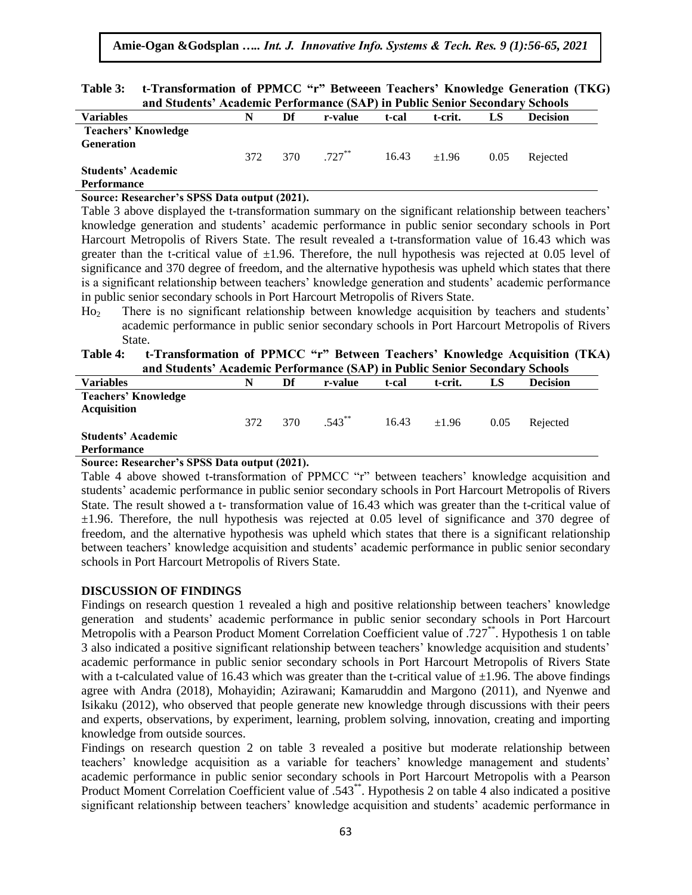| Table 3: t-Transformation of PPMCC "r" Betweeen Teachers' Knowledge Generation (TKG) |  |  |  |  |  |  |
|--------------------------------------------------------------------------------------|--|--|--|--|--|--|
| and Students' Academic Performance (SAP) in Public Senior Secondary Schools          |  |  |  |  |  |  |

|                            | ana staatho - raaminiit i vitormante istri 7 m i abne semol secondar |     |           |       |         |      | <u>strudij</u>  |  |
|----------------------------|----------------------------------------------------------------------|-----|-----------|-------|---------|------|-----------------|--|
| <b>Variables</b>           |                                                                      | Df  | r-value   | t-cal | t-crit. |      | <b>Decision</b> |  |
| <b>Teachers' Knowledge</b> |                                                                      |     |           |       |         |      |                 |  |
| <b>Generation</b>          |                                                                      |     |           |       |         |      |                 |  |
|                            | 372                                                                  | 370 | $.727***$ | 16.43 | ±1.96   | 0.05 | Rejected        |  |
| <b>Students' Academic</b>  |                                                                      |     |           |       |         |      |                 |  |
| <b>Performance</b>         |                                                                      |     |           |       |         |      |                 |  |

#### **Source: Researcher's SPSS Data output (2021).**

Table 3 above displayed the t-transformation summary on the significant relationship between teachers' knowledge generation and students' academic performance in public senior secondary schools in Port Harcourt Metropolis of Rivers State. The result revealed a t-transformation value of 16.43 which was greater than the t-critical value of  $\pm 1.96$ . Therefore, the null hypothesis was rejected at 0.05 level of significance and 370 degree of freedom, and the alternative hypothesis was upheld which states that there is a significant relationship between teachers' knowledge generation and students' academic performance in public senior secondary schools in Port Harcourt Metropolis of Rivers State.

Ho<sub>2</sub> There is no significant relationship between knowledge acquisition by teachers and students' academic performance in public senior secondary schools in Port Harcourt Metropolis of Rivers State.

#### **Table 4: t-Transformation of PPMCC "r" Between Teachers' Knowledge Acquisition (TKA) and Students' Academic Performance (SAP) in Public Senior Secondary Schools**

|                            | and students. Treadente I cribitmance (star ) in I abiic schibit secondary schools |     |           |       |         |      |                 |  |
|----------------------------|------------------------------------------------------------------------------------|-----|-----------|-------|---------|------|-----------------|--|
| <b>Variables</b>           | N                                                                                  | Df  | r-value   | t-cal | t-crit. | LS   | <b>Decision</b> |  |
| <b>Teachers' Knowledge</b> |                                                                                    |     |           |       |         |      |                 |  |
| <b>Acquisition</b>         |                                                                                    |     |           |       |         |      |                 |  |
|                            | 372                                                                                | 370 | $.543$ ** | 16.43 | ±1.96   | 0.05 | Rejected        |  |
| <b>Students' Academic</b>  |                                                                                    |     |           |       |         |      |                 |  |
| <b>Performance</b>         |                                                                                    |     |           |       |         |      |                 |  |

## **Source: Researcher's SPSS Data output (2021).**

Table 4 above showed t-transformation of PPMCC "r" between teachers' knowledge acquisition and students' academic performance in public senior secondary schools in Port Harcourt Metropolis of Rivers State. The result showed a t- transformation value of 16.43 which was greater than the t-critical value of  $\pm 1.96$ . Therefore, the null hypothesis was rejected at 0.05 level of significance and 370 degree of freedom, and the alternative hypothesis was upheld which states that there is a significant relationship between teachers' knowledge acquisition and students' academic performance in public senior secondary schools in Port Harcourt Metropolis of Rivers State.

## **DISCUSSION OF FINDINGS**

Findings on research question 1 revealed a high and positive relationship between teachers' knowledge generation and students' academic performance in public senior secondary schools in Port Harcourt Metropolis with a Pearson Product Moment Correlation Coefficient value of .727\*\*. Hypothesis 1 on table 3 also indicated a positive significant relationship between teachers' knowledge acquisition and students' academic performance in public senior secondary schools in Port Harcourt Metropolis of Rivers State with a t-calculated value of 16.43 which was greater than the t-critical value of  $\pm 1.96$ . The above findings agree with Andra (2018), Mohayidin; Azirawani; Kamaruddin and Margono (2011), and Nyenwe and Isikaku (2012), who observed that people generate new knowledge through discussions with their peers and experts, observations, by experiment, learning, problem solving, innovation, creating and importing knowledge from outside sources.

Findings on research question 2 on table 3 revealed a positive but moderate relationship between teachers' knowledge acquisition as a variable for teachers' knowledge management and students' academic performance in public senior secondary schools in Port Harcourt Metropolis with a Pearson Product Moment Correlation Coefficient value of .543\*\*. Hypothesis 2 on table 4 also indicated a positive significant relationship between teachers' knowledge acquisition and students' academic performance in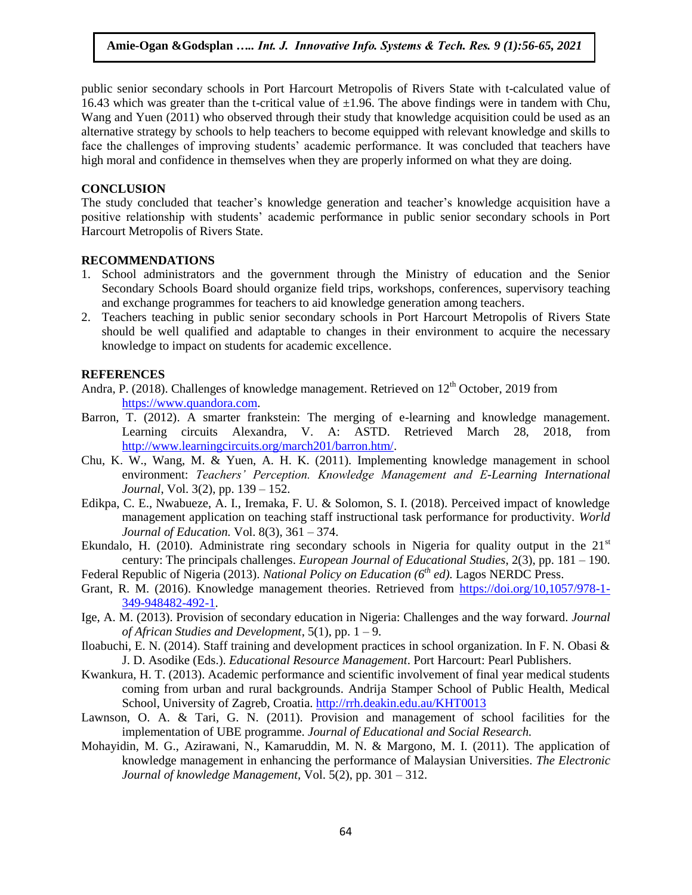public senior secondary schools in Port Harcourt Metropolis of Rivers State with t-calculated value of 16.43 which was greater than the t-critical value of  $\pm 1.96$ . The above findings were in tandem with Chu, Wang and Yuen (2011) who observed through their study that knowledge acquisition could be used as an alternative strategy by schools to help teachers to become equipped with relevant knowledge and skills to face the challenges of improving students' academic performance. It was concluded that teachers have high moral and confidence in themselves when they are properly informed on what they are doing.

## **CONCLUSION**

The study concluded that teacher's knowledge generation and teacher's knowledge acquisition have a positive relationship with students' academic performance in public senior secondary schools in Port Harcourt Metropolis of Rivers State.

## **RECOMMENDATIONS**

- 1. School administrators and the government through the Ministry of education and the Senior Secondary Schools Board should organize field trips, workshops, conferences, supervisory teaching and exchange programmes for teachers to aid knowledge generation among teachers.
- 2. Teachers teaching in public senior secondary schools in Port Harcourt Metropolis of Rivers State should be well qualified and adaptable to changes in their environment to acquire the necessary knowledge to impact on students for academic excellence.

## **REFERENCES**

- Andra, P. (2018). Challenges of knowledge management. Retrieved on  $12<sup>th</sup>$  October, 2019 from [https://www.quandora.com.](https://www.quandora.com/)
- Barron, T. (2012). A smarter frankstein: The merging of e-learning and knowledge management. Learning circuits Alexandra, V. A: ASTD. Retrieved March 28, 2018, from [http://www.learningcircuits.org/march201/barron.htm/.](http://www.learningcircuits.org/march201/barron.htm/)
- Chu, K. W., Wang, M. & Yuen, A. H. K. (2011). Implementing knowledge management in school environment: *Teachers' Perception. Knowledge Management and E-Learning International Journal*, Vol. 3(2), pp. 139 – 152.
- Edikpa, C. E., Nwabueze, A. I., Iremaka, F. U. & Solomon, S. I. (2018). Perceived impact of knowledge management application on teaching staff instructional task performance for productivity. *World Journal of Education.* Vol. 8(3), 361 – 374.
- Ekundalo, H. (2010). Administrate ring secondary schools in Nigeria for quality output in the  $21<sup>st</sup>$ century: The principals challenges. *European Journal of Educational Studies*, 2(3), pp. 181 – 190.
- Federal Republic of Nigeria (2013). *National Policy on Education (6th ed).* Lagos NERDC Press.
- Grant, R. M. (2016). Knowledge management theories. Retrieved from [https://doi.org/10,1057/978-1-](https://doi.org/10,1057/978-1-349-948482-492-1) [349-948482-492-1.](https://doi.org/10,1057/978-1-349-948482-492-1)
- Ige, A. M. (2013). Provision of secondary education in Nigeria: Challenges and the way forward. *Journal of African Studies and Development*, 5(1), pp. 1 – 9.
- Iloabuchi, E. N. (2014). Staff training and development practices in school organization. In F. N. Obasi & J. D. Asodike (Eds.). *Educational Resource Management*. Port Harcourt: Pearl Publishers.
- Kwankura, H. T. (2013). Academic performance and scientific involvement of final year medical students coming from urban and rural backgrounds. Andrija Stamper School of Public Health, Medical School, University of Zagreb, Croatia.<http://rrh.deakin.edu.au/KHT0013>
- Lawnson, O. A. & Tari, G. N. (2011). Provision and management of school facilities for the implementation of UBE programme. *Journal of Educational and Social Research.*
- Mohayidin, M. G., Azirawani, N., Kamaruddin, M. N. & Margono, M. I. (2011). The application of knowledge management in enhancing the performance of Malaysian Universities. *The Electronic Journal of knowledge Management,* Vol. 5(2), pp. 301 – 312.